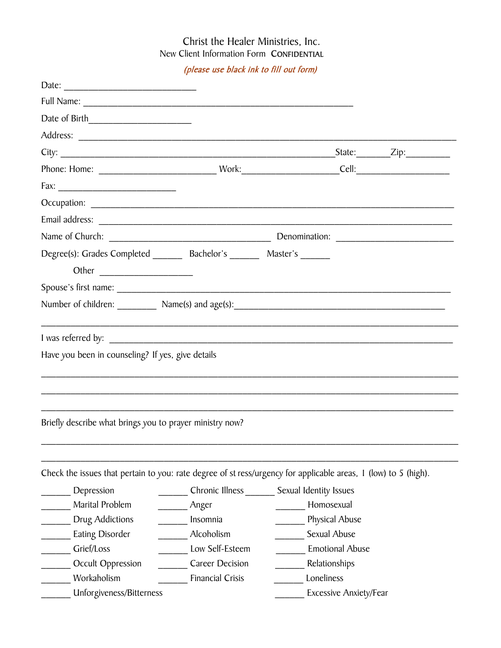## Christ the Healer Ministries, Inc. New Client Information Form CONFIDENTIAL

(please use black ink to fill out form)

| Date:                                                                                                           |                         |                                                 |                               |  |
|-----------------------------------------------------------------------------------------------------------------|-------------------------|-------------------------------------------------|-------------------------------|--|
|                                                                                                                 |                         |                                                 |                               |  |
|                                                                                                                 |                         |                                                 |                               |  |
|                                                                                                                 |                         |                                                 |                               |  |
|                                                                                                                 |                         |                                                 |                               |  |
|                                                                                                                 |                         |                                                 |                               |  |
|                                                                                                                 |                         |                                                 |                               |  |
|                                                                                                                 |                         |                                                 |                               |  |
|                                                                                                                 |                         |                                                 |                               |  |
|                                                                                                                 |                         |                                                 |                               |  |
| Degree(s): Grades Completed _________ Bachelor's _________ Master's _______                                     |                         |                                                 |                               |  |
|                                                                                                                 |                         |                                                 |                               |  |
|                                                                                                                 |                         |                                                 |                               |  |
|                                                                                                                 |                         |                                                 |                               |  |
|                                                                                                                 |                         |                                                 |                               |  |
|                                                                                                                 |                         |                                                 |                               |  |
|                                                                                                                 |                         |                                                 |                               |  |
| Have you been in counseling? If yes, give details                                                               |                         |                                                 |                               |  |
|                                                                                                                 |                         |                                                 |                               |  |
|                                                                                                                 |                         |                                                 |                               |  |
|                                                                                                                 |                         |                                                 |                               |  |
| Briefly describe what brings you to prayer ministry now?                                                        |                         |                                                 |                               |  |
|                                                                                                                 |                         |                                                 |                               |  |
|                                                                                                                 |                         |                                                 |                               |  |
| Check the issues that pertain to you: rate degree of st ress/urgency for applicable areas, 1 (low) to 5 (high). |                         |                                                 |                               |  |
| Depression                                                                                                      |                         | Chronic Illness ________ Sexual Identity Issues |                               |  |
| Marital Problem                                                                                                 | Anger                   | Homosexual                                      |                               |  |
| Drug Addictions                                                                                                 | Insomnia                |                                                 | Physical Abuse                |  |
| Eating Disorder                                                                                                 | Alcoholism              | Sexual Abuse                                    |                               |  |
| Grief/Loss                                                                                                      | Low Self-Esteem         |                                                 | <b>Emotional Abuse</b>        |  |
| Occult Oppression                                                                                               | <b>Career Decision</b>  | Relationships                                   |                               |  |
| Workaholism                                                                                                     | <b>Financial Crisis</b> | Loneliness                                      |                               |  |
| Unforgiveness/Bitterness                                                                                        |                         |                                                 | <b>Excessive Anxiety/Fear</b> |  |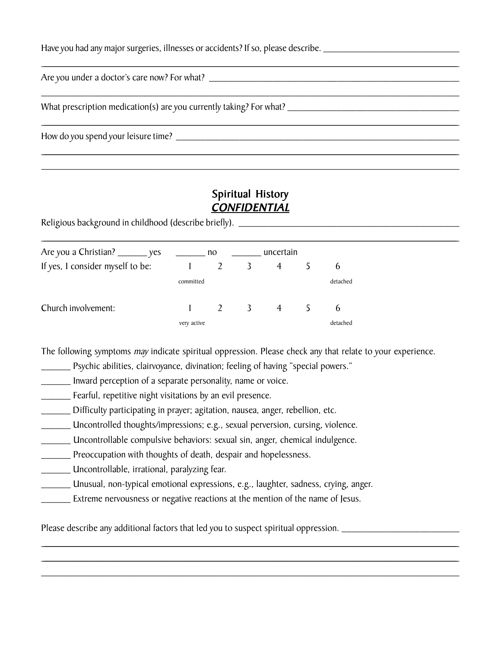| Have you had any major surgeries, illnesses or accidents? If so, please describe. |  |  |  |
|-----------------------------------------------------------------------------------|--|--|--|
|                                                                                   |  |  |  |
| Are you under a doctor's care now? For what? ___________________________________  |  |  |  |
|                                                                                   |  |  |  |
| What prescription medication(s) are you currently taking? For what? _____________ |  |  |  |
|                                                                                   |  |  |  |
|                                                                                   |  |  |  |
|                                                                                   |  |  |  |
|                                                                                   |  |  |  |

## Spiritual History **CONFIDENTIAL**

\_\_\_\_\_\_\_\_\_\_\_\_\_\_\_\_\_\_\_\_\_\_\_\_\_\_\_\_\_\_\_\_\_\_\_\_\_\_\_\_\_\_\_\_\_\_\_\_\_\_\_\_\_\_\_\_\_\_\_\_\_\_\_\_\_\_\_\_\_\_\_\_\_\_\_\_\_\_\_\_\_\_\_\_\_\_\_\_\_\_\_\_\_\_\_\_\_\_\_\_\_\_\_\_\_\_\_\_\_\_\_\_\_\_\_\_\_\_\_\_\_\_\_\_\_\_\_\_\_\_\_\_\_\_\_\_\_\_\_\_\_\_\_\_\_\_\_\_\_\_\_\_\_\_\_\_\_\_\_\_\_\_\_\_\_\_\_\_\_\_\_\_\_\_\_\_\_\_\_\_\_\_\_\_\_\_\_\_\_\_\_\_\_\_\_\_\_\_\_\_\_\_\_\_\_\_\_\_\_\_\_\_\_\_\_\_\_\_\_

Religious background in childhood (describe briefly). \_\_\_\_\_\_\_\_\_\_\_\_\_\_\_\_\_\_\_\_\_\_\_\_\_\_\_\_\_\_\_\_\_\_\_\_\_\_\_\_\_\_\_\_\_

| Are you a Christian? ________ yes |             | no |       | uncertain |               |
|-----------------------------------|-------------|----|-------|-----------|---------------|
| If yes, I consider myself to be:  |             |    |       | 4         | $\mathfrak b$ |
|                                   | committed   |    |       |           | detached      |
| Church involvement:               |             |    | 2 $3$ | 4         | $\mathfrak b$ |
|                                   | very active |    |       |           | detached      |

The following symptoms *may* indicate spiritual oppression. Please check any that relate to your experience.

<u> 1989 - Andrea Stadt Britain, amerikansk politik (\* 1989)</u> <u> 1989 - Andrea Stadt Britain, amerikansk fotballstva (d. 1989)</u> \_\_\_\_\_\_\_\_\_\_\_\_\_\_\_\_\_\_\_\_\_\_\_\_\_\_\_\_\_\_\_\_\_\_\_\_\_\_\_\_\_\_\_\_\_\_\_\_\_\_\_\_\_\_\_\_\_\_\_\_\_\_\_\_\_\_\_\_\_\_\_\_\_\_\_\_\_\_\_\_\_\_\_\_\_\_\_\_\_

- \_\_\_\_\_\_ Psychic abilities, clairvoyance, divination; feeling of having "special powers."
- \_\_\_\_\_\_ Inward perception of a separate personality, name or voice.
- **\_\_\_\_\_\_** Fearful, repetitive night visitations by an evil presence.
- \_\_\_\_\_\_ Difficulty participating in prayer; agitation, nausea, anger, rebellion, etc.
- \_\_\_\_\_\_ Uncontrolled thoughts/impressions; e.g., sexual perversion, cursing, violence.
- \_\_\_\_\_\_ Uncontrollable compulsive behaviors: sexual sin, anger, chemical indulgence.
- \_\_\_\_\_\_ Preoccupation with thoughts of death, despair and hopelessness.
- \_\_\_\_\_\_ Uncontrollable, irrational, paralyzing fear.
- \_\_\_\_\_\_ Unusual, non-typical emotional expressions, e.g., laughter, sadness, crying, anger.
- **\_\_\_\_\_\_** Extreme nervousness or negative reactions at the mention of the name of Jesus.

Please describe any additional factors that led you to suspect spiritual oppression. \_\_\_\_\_\_\_\_\_\_\_\_\_\_\_\_\_\_\_\_\_\_\_\_\_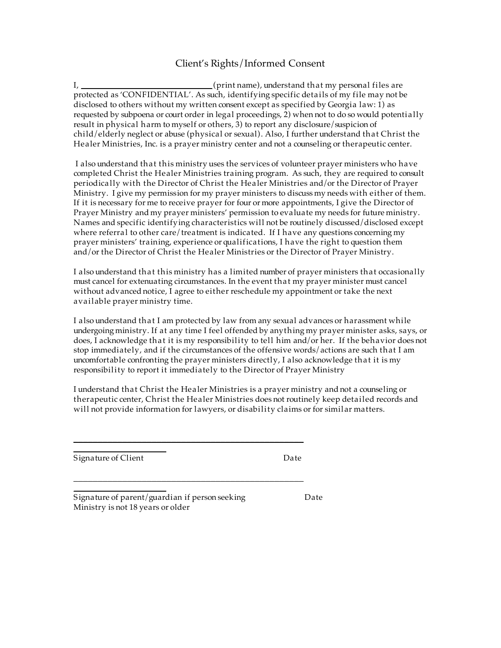## Client's Rights/Informed Consent

I, \_\_\_\_\_\_\_\_\_\_\_\_\_\_\_\_\_\_\_\_\_\_\_\_\_\_\_\_\_\_\_\_\_(print name), understand that my personal files are protected as 'CONFIDENTIAL'. As such, identifying specific details of my file may not be disclosed to others without my written consent except as specified by Georgia law: 1) as requested by subpoena or court order in legal proceedings, 2) when not to do so would potentially result in physical harm to myself or others, 3) to report any disclosure/suspicion of child/elderly neglect or abuse (physical or sexual). Also, I further understand that Christ the Healer Ministries, Inc. is a prayer ministry center and not a counseling or therapeutic center.

I also understand that this ministry uses the services of volunteer prayer ministers who have comple ted Christ the Healer Ministries training program. As such, they are required to consult periodically with the Director of Christ the Healer Ministries and/or the Director of Prayer Ministry. I give my permission for my prayer ministers to discuss my needs with either of them. If it is necessary for me to receive prayer for four or more appointments, I give the Director of Prayer Ministry and my prayer ministers' permission to evaluate my needs for future ministry. Names and specific identifying characteristics will not be routinely discussed/disclosed except where referral to other care/treatment is indicated. If I have any questions concerning my prayer ministers' training, experience or qualifica tions, I have the right to question them and/or the Director of Christ the Healer Ministries or the Director of Prayer Ministry.

I also understand that this ministry has a limited number of prayer ministers that occasionally must cancel for extenuating circumstances. In the event that my prayer minister must cancel without advanced notice, I agree to either reschedule my appointment or take the next available prayer ministry time.

I also understand that I am protected by law from any sexual advances or harassment while undergoing ministry. If at any time I feel offended by anything my prayer minister asks, says, or does, I acknowledge that it is my responsibility to tell him and/or her. If the behavior does not stop immediately, and if the circumstances of the offensive words/actions are such that I am uncomfortable confronting the prayer ministers directly, I also acknowledge that it is my responsibility to report it immediately to the Director of Prayer Ministry

I understand tha t Christ the Healer Ministries is a prayer ministry and not a counseling or therapeutic center, Christ the Healer Ministries does not routinely keep detailed records and will not provide information for lawyers, or disability claims or for similar matters.

 $\overline{\phantom{a}}$  ,  $\overline{\phantom{a}}$  ,  $\overline{\phantom{a}}$  ,  $\overline{\phantom{a}}$  ,  $\overline{\phantom{a}}$  ,  $\overline{\phantom{a}}$  ,  $\overline{\phantom{a}}$  ,  $\overline{\phantom{a}}$  ,  $\overline{\phantom{a}}$  ,  $\overline{\phantom{a}}$  ,  $\overline{\phantom{a}}$  ,  $\overline{\phantom{a}}$  ,  $\overline{\phantom{a}}$  ,  $\overline{\phantom{a}}$  ,  $\overline{\phantom{a}}$  ,  $\overline{\phantom{a}}$ Signature of Client Date

 $\mathcal{L} = \{ \mathcal{L} \mid \mathcal{L} \in \mathcal{L} \}$ Signature of parent/guardian if person seeking Date Ministry is not 18 years or older

 $\mathcal{L} = \mathcal{L} \cup \{ \mathcal{L} \}$ 

 $\mathcal{L} = \{ \mathcal{L} \mid \mathcal{L} \text{ and } \mathcal{L} \text{ and } \mathcal{L} \text{ and } \mathcal{L} \text{ and } \mathcal{L} \text{ and } \mathcal{L} \text{ and } \mathcal{L} \text{ and } \mathcal{L} \text{ and } \mathcal{L} \text{ and } \mathcal{L} \text{ and } \mathcal{L} \text{ and } \mathcal{L} \text{ and } \mathcal{L} \text{ and } \mathcal{L} \text{ and } \mathcal{L} \text{ and } \mathcal{L} \text{ and } \mathcal{L} \text{ and } \mathcal{L} \text{ and } \mathcal{L$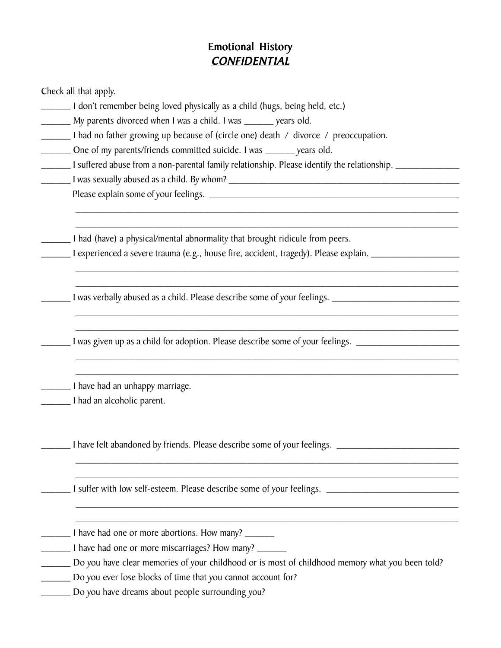## Emotional History CONFIDENTIAL

| Check all that apply.                                                                                               |
|---------------------------------------------------------------------------------------------------------------------|
| I don't remember being loved physically as a child (hugs, being held, etc.)                                         |
| My parents divorced when I was a child. I was ______ years old.                                                     |
| I had no father growing up because of (circle one) death / divorce / preoccupation.                                 |
| _______ One of my parents/friends committed suicide. I was _______ years old.                                       |
| _________ I suffered abuse from a non-parental family relationship. Please identify the relationship. _____________ |
|                                                                                                                     |
|                                                                                                                     |
| I had (have) a physical/mental abnormality that brought ridicule from peers.                                        |
| I experienced a severe trauma (e.g., house fire, accident, tragedy). Please explain. ________________________       |
|                                                                                                                     |
|                                                                                                                     |
| I was given up as a child for adoption. Please describe some of your feelings. _____________________                |
| I have had an unhappy marriage.                                                                                     |
| I had an alcoholic parent.                                                                                          |
| I have felt abandoned by friends. Please describe some of your feelings.                                            |
| I suffer with low self-esteem. Please describe some of your feelings. ______________________________                |
| I have had one or more abortions. How many?                                                                         |
| I have had one or more miscarriages? How many? _______                                                              |
| Do you have clear memories of your childhood or is most of childhood memory what you been told?                     |
| Do you ever lose blocks of time that you cannot account for?                                                        |
| Do you have dreams about people surrounding you?                                                                    |
|                                                                                                                     |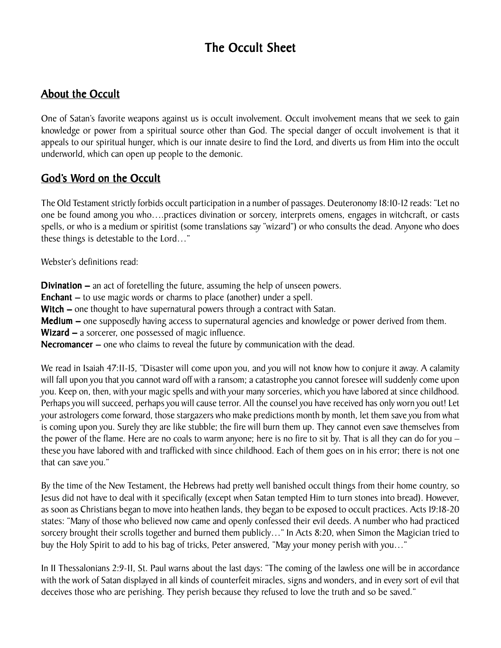# The Occult Sheet

## About the Occult

One of Satan's favorite weapons against us is occult involvement. Occult involvement means that we seek to gain knowledge or power from a spiritual source other than God. The special danger of occult involvement is that it appeals to our spiritual hunger, which is our innate desire to find the Lord, and diverts us from Him into the occult underworld, which can open up people to the demonic.

## God's Word on the Occult

The Old Testament strictly forbids occult participation in a number of passages. Deuteronomy 18:10-12 reads: "Let no one be found among you who….practices divination or sorcery, interprets omens, engages in witchcraft, or casts spells, or who is a medium or spiritist (some translations say "wizard") or who consults the dead. Anyone who does these things is detestable to the Lord…"

Webster's definitions read:

**Divination** – an act of foretelling the future, assuming the help of unseen powers.

**Enchant** – to use magic words or charms to place (another) under a spell.

Witch – one thought to have supernatural powers through a contract with Satan.

**Medium** – one supposedly having access to supernatural agencies and knowledge or power derived from them.

**Wizard** – a sorcerer, one possessed of magic influence.

**Necromancer** – one who claims to reveal the future by communication with the dead.

We read in Isaiah 47:11-15, "Disaster will come upon you, and you will not know how to conjure it away. A calamity will fall upon you that you cannot ward off with a ransom; a catastrophe you cannot foresee will suddenly come upon you. Keep on, then, with your magic spells and with your many sorceries, which you have labored at since childhood. Perhaps you will succeed, perhaps you will cause terror. All the counsel you have received has only worn you out! Let your astrologers come forward, those stargazers who make predictions month by month, let them save you from what is coming upon you. Surely they are like stubble; the fire will burn them up. They cannot even save themselves from the power of the flame. Here are no coals to warm anyone; here is no fire to sit by. That is all they can do for you – these you have labored with and trafficked with since childhood. Each of them goes on in his error; there is not one that can save you."

By the time of the New Testament, the Hebrews had pretty well banished occult things from their home country, so Jesus did not have to deal with it specifically (except when Satan tempted Him to turn stones into bread). However, as soon as Christians began to move into heathen lands, they began to be exposed to occult practices. Acts 19:18-20 states: "Many of those who believed now came and openly confessed their evil deeds. A number who had practiced sorcery brought their scrolls together and burned them publicly…" In Acts 8:20, when Simon the Magician tried to buy the Holy Spirit to add to his bag of tricks, Peter answered, "May your money perish with you…"

In II Thessalonians 2:9-11, St. Paul warns about the last days: "The coming of the lawless one will be in accordance with the work of Satan displayed in all kinds of counterfeit miracles, signs and wonders, and in every sort of evil that deceives those who are perishing. They perish because they refused to love the truth and so be saved."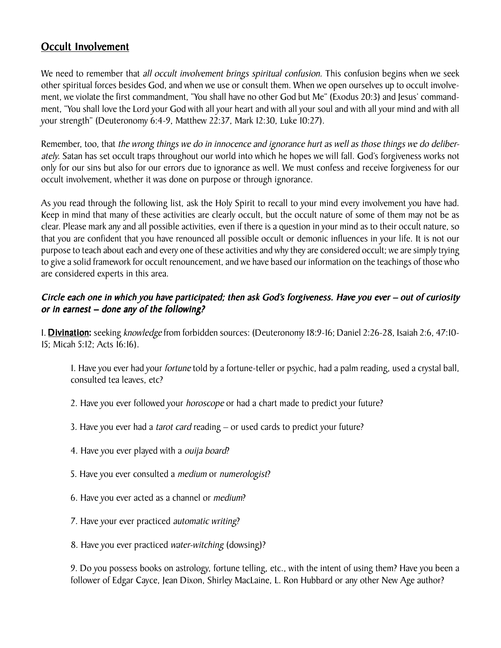## Occult Involvement

We need to remember that *all occult involvement brings spiritual confusion*. This confusion begins when we seek other spiritual forces besides God, and when we use or consult them. When we open ourselves up to occult involvement, we violate the first commandment, "You shall have no other God but Me" (Exodus 20:3) and Jesus' commandment, "You shall love the Lord your God with all your heart and with all your soul and with all your mind and with all your strength" (Deuteronomy 6:4-9, Matthew 22:37, Mark 12:30, Luke 10:27).

Remember, too, that the wrong things we do in innocence and ignorance hurt as well as those things we do deliberately. Satan has set occult traps throughout our world into which he hopes we will fall. God's forgiveness works not only for our sins but also for our errors due to ignorance as well. We must confess and receive forgiveness for our occult involvement, whether it was done on purpose or through ignorance.

As you read through the following list, ask the Holy Spirit to recall to your mind every involvement you have had. Keep in mind that many of these activities are clearly occult, but the occult nature of some of them may not be as clear. Please mark any and all possible activities, even if there is a question in your mind as to their occult nature, so that you are confident that you have renounced all possible occult or demonic influences in your life. It is not our purpose to teach about each and every one of these activities and why they are considered occult; we are simply trying to give a solid framework for occult renouncement, and we have based our information on the teachings of those who are considered experts in this area.

## Circle each one in which you have participated; then ask God's forgiveness. Have you ever – out of curiosity or in earnest – done any of the following?

I. Divination: seeking knowledge from forbidden sources: (Deuteronomy 18:9-16; Daniel 2:26-28, Isaiah 2:6, 47:10-15; Micah 5:12; Acts 16:16).

1. Have you ever had your fortune told by a fortune-teller or psychic, had a palm reading, used a crystal ball, consulted tea leaves, etc?

- 2. Have you ever followed your *horoscope* or had a chart made to predict your future?
- 3. Have you ever had a *tarot card* reading or used cards to predict your future?
- 4. Have you ever played with a *ouija board*?
- 5. Have you ever consulted a medium or numerologist?
- 6. Have you ever acted as a channel or medium?
- 7. Have your ever practiced automatic writing?
- 8. Have you ever practiced water-witching (dowsing)?

9. Do you possess books on astrology, fortune telling, etc., with the intent of using them? Have you been a follower of Edgar Cayce, Jean Dixon, Shirley MacLaine, L. Ron Hubbard or any other New Age author?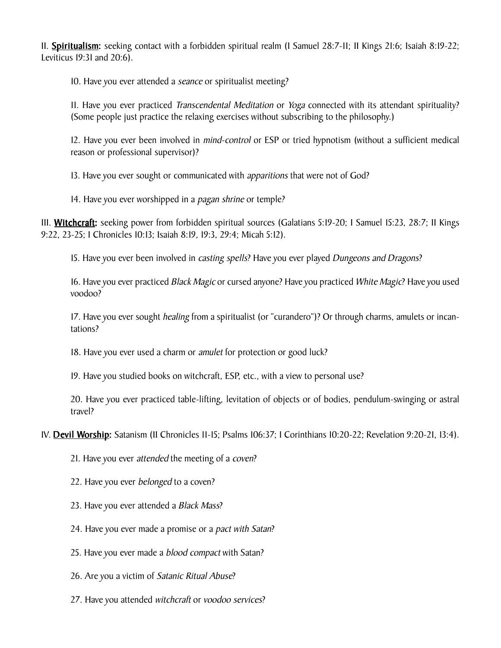II. Spiritualism: seeking contact with a forbidden spiritual realm (I Samuel 28:7-11; II Kings 21:6; Isaiah 8:19-22; Leviticus 19:31 and 20:6).

10. Have you ever attended a seance or spiritualist meeting?

11. Have you ever practiced Transcendental Meditation or Yoga connected with its attendant spirituality? (Some people just practice the relaxing exercises without subscribing to the philosophy.)

12. Have you ever been involved in *mind-control* or ESP or tried hypnotism (without a sufficient medical reason or professional supervisor)?

13. Have you ever sought or communicated with apparitions that were not of God?

14. Have you ever worshipped in a pagan shrine or temple?

III. Witchcraft: seeking power from forbidden spiritual sources (Galatians 5:19-20; I Samuel 15:23, 28:7; II Kings 9:22, 23-25; I Chronicles 10:13; Isaiah 8:19, 19:3, 29:4; Micah 5:12).

15. Have you ever been involved in *casting spells*? Have you ever played *Dungeons and Dragons*?

16. Have you ever practiced Black Magic or cursed anyone? Have you practiced White Magic? Have you used voodoo?

17. Have you ever sought *healing* from a spiritualist (or "curandero")? Or through charms, amulets or incantations?

18. Have you ever used a charm or amulet for protection or good luck?

19. Have you studied books on witchcraft, ESP, etc., with a view to personal use?

20. Have you ever practiced table-lifting, levitation of objects or of bodies, pendulum-swinging or astral travel?

IV. Devil Worship: Satanism (II Chronicles 11-15; Psalms 106:37; I Corinthians 10:20-22; Revelation 9:20-21, 13:4).

- 21. Have you ever attended the meeting of a coven?
- 22. Have you ever belonged to a coven?
- 23. Have you ever attended a *Black Mass*?
- 24. Have you ever made a promise or a *pact with Satan?*
- 25. Have you ever made a *blood compact* with Satan?
- 26. Are you a victim of Satanic Ritual Abuse?
- 27. Have you attended witchcraft or voodoo services?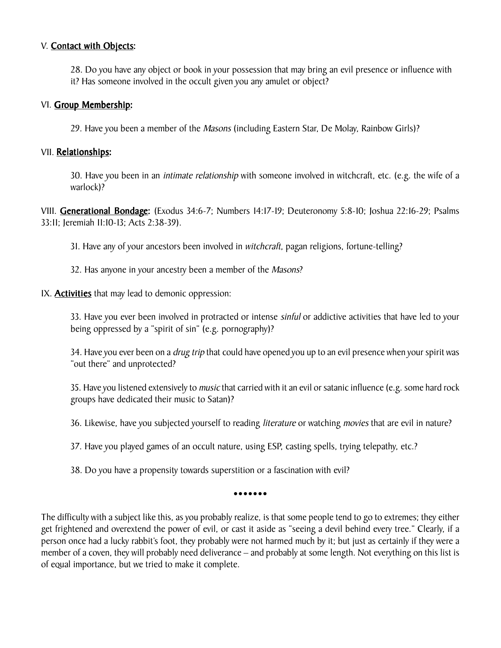## V. Contact with Objects:

28. Do you have any object or book in your possession that may bring an evil presence or influence with it? Has someone involved in the occult given you any amulet or object?

## VI. Group Membership:

29. Have you been a member of the *Masons* (including Eastern Star, De Molay, Rainbow Girls)?

## VII. Relationships:

30. Have you been in an intimate relationship with someone involved in witchcraft, etc. (e.g. the wife of a warlock)?

VIII. Generational Bondage: (Exodus 34:6-7; Numbers 14:17-19; Deuteronomy 5:8-10; Joshua 22:16-29; Psalms 33:11; Jeremiah 11:10-13; Acts 2:38-39).

31. Have any of your ancestors been involved in witchcraft, pagan religions, fortune-telling?

32. Has anyone in your ancestry been a member of the Masons?

IX. **Activities** that may lead to demonic oppression:

33. Have you ever been involved in protracted or intense *sinful* or addictive activities that have led to your being oppressed by a "spirit of sin" (e.g. pornography)?

34. Have you ever been on a *drug trip* that could have opened you up to an evil presence when your spirit was "out there" and unprotected?

35. Have you listened extensively to *music* that carried with it an evil or satanic influence (e.g. some hard rock groups have dedicated their music to Satan)?

36. Likewise, have you subjected yourself to reading literature or watching movies that are evil in nature?

37. Have you played games of an occult nature, using ESP, casting spells, trying telepathy, etc.?

38. Do you have a propensity towards superstition or a fascination with evil?

#### •••••••

The difficulty with a subject like this, as you probably realize, is that some people tend to go to extremes; they either get frightened and overextend the power of evil, or cast it aside as "seeing a devil behind every tree." Clearly, if a person once had a lucky rabbit's foot, they probably were not harmed much by it; but just as certainly if they were a member of a coven, they will probably need deliverance – and probably at some length. Not everything on this list is of equal importance, but we tried to make it complete.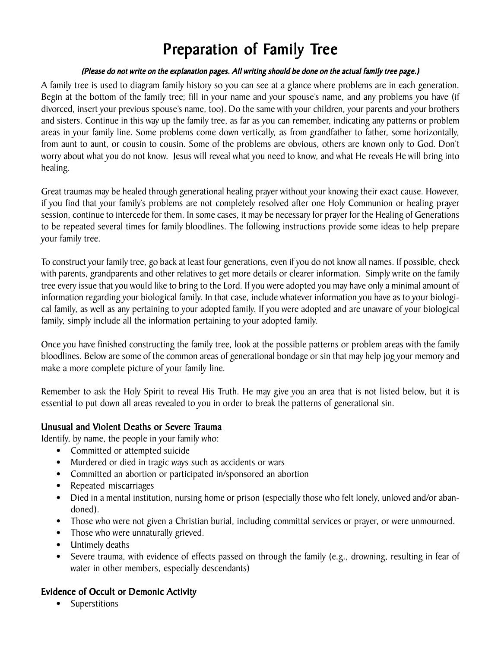# Preparation of Family Tree

## (Please do not write on the explanation pages. All writing should be done on the actual family tree page.)

A family tree is used to diagram family history so you can see at a glance where problems are in each generation. Begin at the bottom of the family tree; fill in your name and your spouse's name, and any problems you have (if divorced, insert your previous spouse's name, too). Do the same with your children, your parents and your brothers and sisters. Continue in this way up the family tree, as far as you can remember, indicating any patterns or problem areas in your family line. Some problems come down vertically, as from grandfather to father, some horizontally, from aunt to aunt, or cousin to cousin. Some of the problems are obvious, others are known only to God. Don't worry about what you do not know. Jesus will reveal what you need to know, and what He reveals He will bring into healing.

Great traumas may be healed through generational healing prayer without your knowing their exact cause. However, if you find that your family's problems are not completely resolved after one Holy Communion or healing prayer session, continue to intercede for them. In some cases, it may be necessary for prayer for the Healing of Generations to be repeated several times for family bloodlines. The following instructions provide some ideas to help prepare your family tree.

To construct your family tree, go back at least four generations, even if you do not know all names. If possible, check with parents, grandparents and other relatives to get more details or clearer information. Simply write on the family tree every issue that you would like to bring to the Lord. If you were adopted you may have only a minimal amount of information regarding your biological family. In that case, include whatever information you have as to your biological family, as well as any pertaining to your adopted family. If you were adopted and are unaware of your biological family, simply include all the information pertaining to your adopted family.

Once you have finished constructing the family tree, look at the possible patterns or problem areas with the family bloodlines. Below are some of the common areas of generational bondage or sin that may help jog your memory and make a more complete picture of your family line.

Remember to ask the Holy Spirit to reveal His Truth. He may give you an area that is not listed below, but it is essential to put down all areas revealed to you in order to break the patterns of generational sin.

## Unusual and Violent Deaths or Severe Trauma

Identify, by name, the people in your family who:

- Committed or attempted suicide
- Murdered or died in tragic ways such as accidents or wars
- Committed an abortion or participated in/sponsored an abortion
- Repeated miscarriages
- Died in a mental institution, nursing home or prison (especially those who felt lonely, unloved and/or abandoned).
- Those who were not given a Christian burial, including committal services or prayer, or were unmourned.
- Those who were unnaturally grieved.
- Untimely deaths
- Severe trauma, with evidence of effects passed on through the family (e.g., drowning, resulting in fear of water in other members, especially descendants)

## **Evidence of Occult or Demonic Activity**

**Superstitions**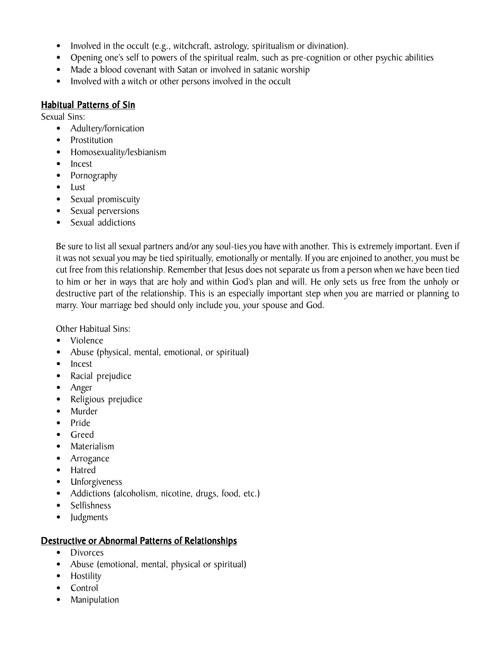- Involved in the occult (e.g., witchcraft, astrology, spiritualism or divination).
- Opening one's self to powers of the spiritual realm, such as pre-cognition or other psychic abilities
- Made a blood covenant with Satan or involved in satanic worship
- Involved with a witch or other persons involved in the occult

## Habitual Patterns of Sin

Sexual Sins:

- Adultery/fornication
- **Prostitution**
- Homosexuality/lesbianism
- Incest
- Pornography
- Lust
- Sexual promiscuity
- Sexual perversions
- Sexual addictions

Be sure to list all sexual partners and/or any soul-ties you have with another. This is extremely important. Even if it was not sexual you may be tied spiritually, emotionally or mentally. If you are enjoined to another, you must be cut free from this relationship. Remember that Jesus does not separate us from a person when we have been tied to him or her in ways that are holy and within God's plan and will. He only sets us free from the unholy or destructive part of the relationship. This is an especially important step when you are married or planning to marry. Your marriage bed should only include you, your spouse and God.

Other Habitual Sins:

- Violence
- Abuse (physical, mental, emotional, or spiritual)
- Incest
- Racial prejudice
- Anger
- Religious prejudice
- Murder
- Pride
- Greed
- Materialism
- **Arrogance**
- Hatred
- **Unforgiveness**
- Addictions (alcoholism, nicotine, drugs, food, etc.)
- Selfishness
- Judgments

## Destructive or Abnormal Patterns of Relationships

- Divorces
- Abuse (emotional, mental, physical or spiritual)
- Hostility
- **Control**
- Manipulation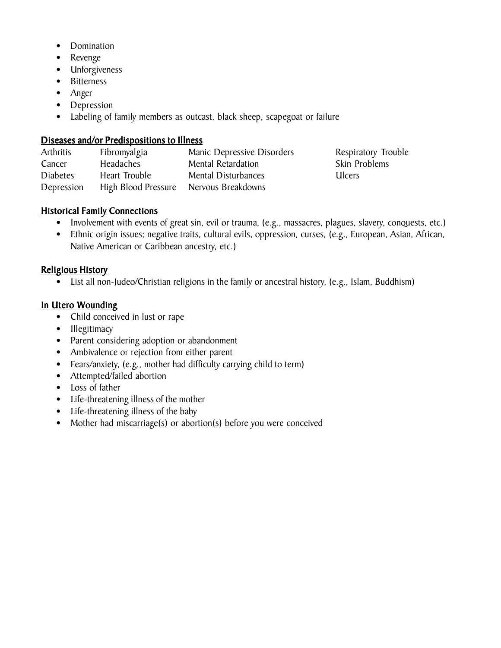- Domination
- Revenge
- **Unforgiveness**
- Bitterness
- Anger
- Depression
- Labeling of family members as outcast, black sheep, scapegoat or failure

## Diseases and/or Predispositions to Illness

| Arthritis       | Fibromyalgia        | Manic Depressive Disorders | Respiratory Trouble |
|-----------------|---------------------|----------------------------|---------------------|
| Cancer          | Headaches           | <b>Mental Retardation</b>  | Skin Problems       |
| <b>Diabetes</b> | Heart Trouble       | <b>Mental Disturbances</b> | <b>Ulcers</b>       |
| Depression      | High Blood Pressure | Nervous Breakdowns         |                     |

## **Historical Family Connections**

- Involvement with events of great sin, evil or trauma, (e.g., massacres, plagues, slavery, conquests, etc.)
- Ethnic origin issues; negative traits, cultural evils, oppression, curses, (e.g., European, Asian, African, Native American or Caribbean ancestry, etc.)

## **Religious History**

• List all non-Judeo/Christian religions in the family or ancestral history, (e.g., Islam, Buddhism)

## **In Utero Wounding**

- Child conceived in lust or rape
- Illegitimacy
- Parent considering adoption or abandonment
- Ambivalence or rejection from either parent
- Fears/anxiety, (e.g., mother had difficulty carrying child to term)
- Attempted/failed abortion
- Loss of father
- Life-threatening illness of the mother
- Life-threatening illness of the baby
- Mother had miscarriage(s) or abortion(s) before you were conceived